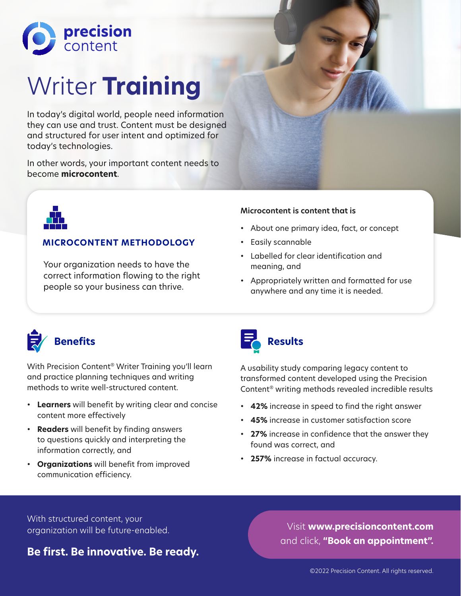

# Writer **Training**

In today's digital world, people need information they can use and trust. Content must be designed and structured for user intent and optimized for today's technologies.

In other words, your important content needs to become **microcontent**.



# **MICROCONTENT METHODOLOGY**

Your organization needs to have the correct information flowing to the right people so your business can thrive.

### **Microcontent is content that is**

- About one primary idea, fact, or concept
- Easily scannable
- Labelled for clear identification and meaning, and
- Appropriately written and formatted for use anywhere and any time it is needed.



With Precision Content® Writer Training you'll learn and practice planning techniques and writing methods to write well-structured content.

- **Learners** will benefit by writing clear and concise content more effectively
- **Readers** will benefit by finding answers to questions quickly and interpreting the information correctly, and
- **Organizations** will benefit from improved communication efficiency.



A usability study comparing legacy content to transformed content developed using the Precision Content® writing methods revealed incredible results

- **42%** increase in speed to find the right answer
- **45%** increase in customer satisfaction score
- **27%** increase in confidence that the answer they found was correct, and
- **257%** increase in factual accuracy.

With structured content, your organization will be future-enabled.

**Be first. Be innovative. Be ready.**

Visit **www.precisioncontent.com** and click, **"Book an appointment".**